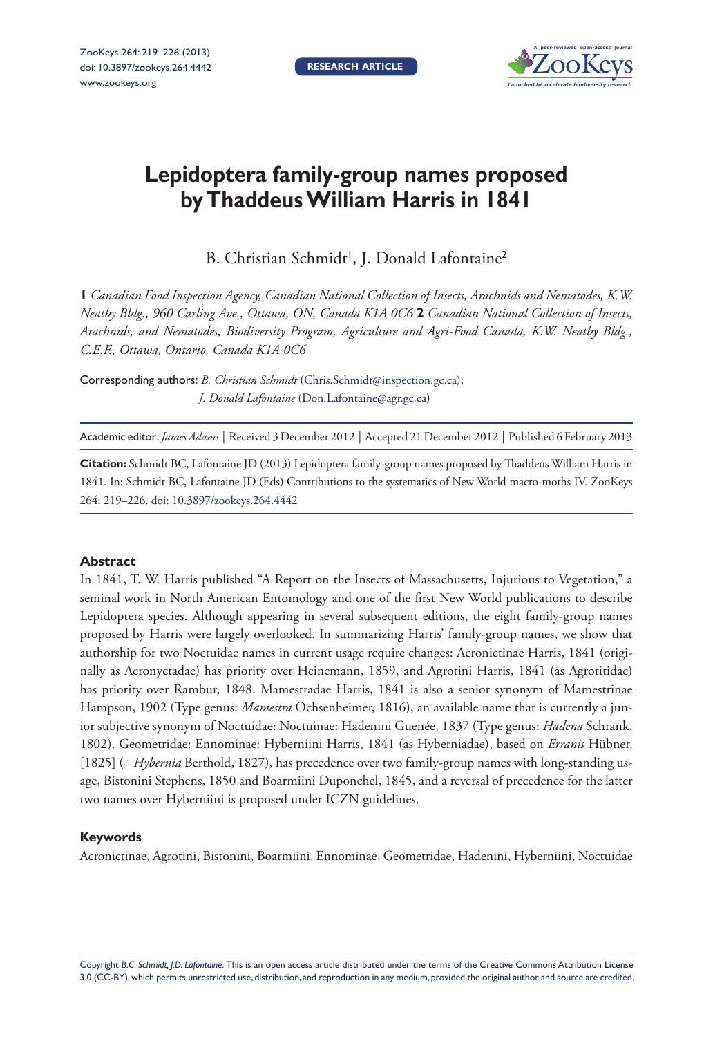

# **Lepidoptera family-group names proposed byThaddeusWilliam Harris in 1841**

B. Christian Schmidt<sup>1</sup>, J. Donald Lafontaine<sup>2</sup>

**1** *Canadian Food Inspection Agency, Canadian National Collection of Insects, Arachnids and Nematodes, K.W. Neatby Bldg., 960 Carling Ave., Ottawa, ON, Canada K1A 0C6* **2** *Canadian National Collection of Insects, Arachnids, and Nematodes, Biodiversity Program, Agriculture and Agri-Food Canada, K.W. Neatby Bldg., C.E.F., Ottawa, Ontario, Canada K1A 0C6*

Corresponding authors: *B. Christian Schmidt* ([Chris.Schmidt@inspection.gc.ca\)](mailto:Chris.Schmidt@inspection.gc.ca); *J. Donald Lafontaine* [\(Don.Lafontaine@agr.gc.ca\)](mailto:Don.Lafontaine@agr.gc.ca)

Academic editor:*James Adams* | Received 3 December 2012 | Accepted 21 December 2012 | Published 6 February 2013

**Citation:** Schmidt BC, Lafontaine JD (2013) Lepidoptera family-group names proposed by Thaddeus William Harris in 1841. In: Schmidt BC, Lafontaine JD (Eds) Contributions to the systematics of New World macro-moths IV. ZooKeys 264: 219–226. [doi: 10.3897/zookeys.264.4442](http://dx.doi.org/10.3897/zookeys.264.4442)

#### **Abstract**

In 1841, T. W. Harris published "A Report on the Insects of Massachusetts, Injurious to Vegetation," a seminal work in North American Entomology and one of the first New World publications to describe Lepidoptera species. Although appearing in several subsequent editions, the eight family-group names proposed by Harris were largely overlooked. In summarizing Harris' family-group names, we show that authorship for two Noctuidae names in current usage require changes: Acronictinae Harris, 1841 (originally as Acronyctadae) has priority over Heinemann, 1859, and Agrotini Harris, 1841 (as Agrotitidae) has priority over Rambur, 1848. Mamestradae Harris, 1841 is also a senior synonym of Mamestrinae Hampson, 1902 (Type genus: *Mamestra* Ochsenheimer, 1816), an available name that is currently a junior subjective synonym of Noctuidae: Noctuinae: Hadenini Guenée, 1837 (Type genus: *Hadena* Schrank, 1802). Geometridae: Ennominae: Hyberniini Harris, 1841 (as Hyberniadae), based on *Erranis* Hübner, [1825] (= *Hybernia* Berthold, 1827), has precedence over two family-group names with long-standing usage, Bistonini Stephens, 1850 and Boarmiini Duponchel, 1845, and a reversal of precedence for the latter two names over Hyberniini is proposed under ICZN guidelines.

#### **Keywords**

Acronictinae, Agrotini, Bistonini, Boarmiini, Ennominae, Geometridae, Hadenini, Hyberniini, Noctuidae

Copyright *B.C. Schmidt, J.D. Lafontaine.* This is an open access article distributed under the terms of the [Creative Commons Attribution License](http://creativecommons.org/licenses/by/3.0/)  [3.0 \(CC-BY\),](http://creativecommons.org/licenses/by/3.0/) which permits unrestricted use, distribution, and reproduction in any medium, provided the original author and source are credited.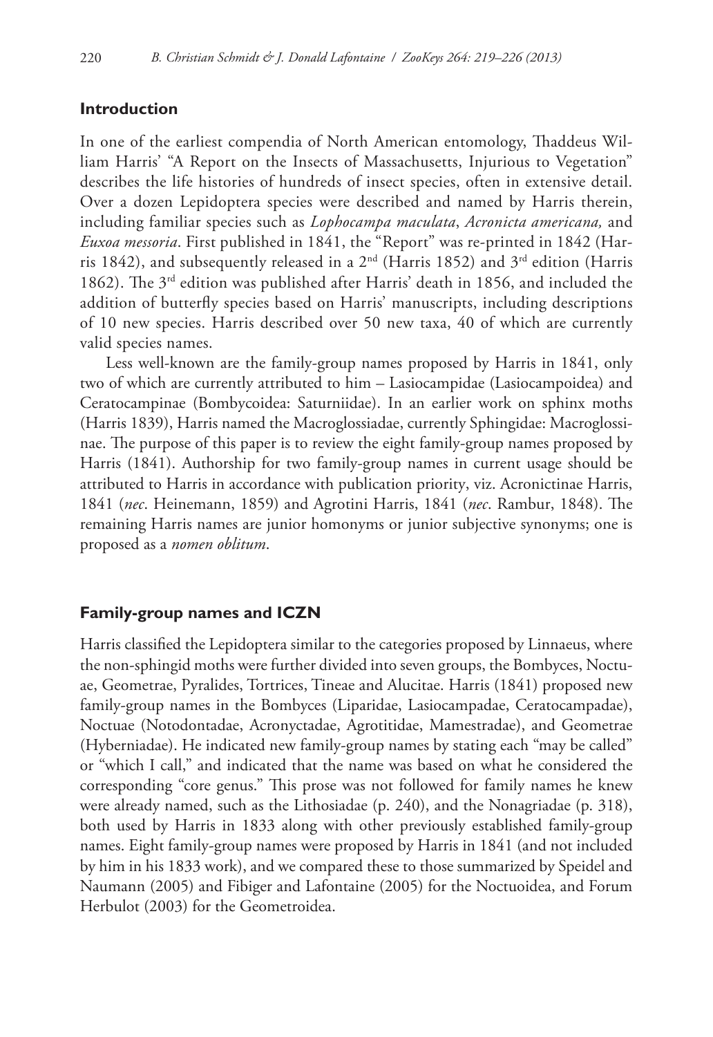### **Introduction**

In one of the earliest compendia of North American entomology, Thaddeus William Harris' "A Report on the Insects of Massachusetts, Injurious to Vegetation" describes the life histories of hundreds of insect species, often in extensive detail. Over a dozen Lepidoptera species were described and named by Harris therein, including familiar species such as *Lophocampa maculata*, *Acronicta americana,* and *Euxoa messoria*. First published in 1841, the "Report" was re-printed in 1842 (Harris 1842), and subsequently released in a  $2<sup>nd</sup>$  (Harris 1852) and  $3<sup>rd</sup>$  edition (Harris 1862). The 3rd edition was published after Harris' death in 1856, and included the addition of butterfly species based on Harris' manuscripts, including descriptions of 10 new species. Harris described over 50 new taxa, 40 of which are currently valid species names.

Less well-known are the family-group names proposed by Harris in 1841, only two of which are currently attributed to him – Lasiocampidae (Lasiocampoidea) and Ceratocampinae (Bombycoidea: Saturniidae). In an earlier work on sphinx moths (Harris 1839), Harris named the Macroglossiadae, currently Sphingidae: Macroglossinae. The purpose of this paper is to review the eight family-group names proposed by Harris (1841). Authorship for two family-group names in current usage should be attributed to Harris in accordance with publication priority, viz. Acronictinae Harris, 1841 (*nec*. Heinemann, 1859) and Agrotini Harris, 1841 (*nec*. Rambur, 1848). The remaining Harris names are junior homonyms or junior subjective synonyms; one is proposed as a *nomen oblitum*.

#### **Family-group names and ICZN**

Harris classified the Lepidoptera similar to the categories proposed by Linnaeus, where the non-sphingid moths were further divided into seven groups, the Bombyces, Noctuae, Geometrae, Pyralides, Tortrices, Tineae and Alucitae. Harris (1841) proposed new family-group names in the Bombyces (Liparidae, Lasiocampadae, Ceratocampadae), Noctuae (Notodontadae, Acronyctadae, Agrotitidae, Mamestradae), and Geometrae (Hyberniadae). He indicated new family-group names by stating each "may be called" or "which I call," and indicated that the name was based on what he considered the corresponding "core genus." This prose was not followed for family names he knew were already named, such as the Lithosiadae (p. 240), and the Nonagriadae (p. 318), both used by Harris in 1833 along with other previously established family-group names. Eight family-group names were proposed by Harris in 1841 (and not included by him in his 1833 work), and we compared these to those summarized by Speidel and Naumann (2005) and Fibiger and Lafontaine (2005) for the Noctuoidea, and Forum Herbulot (2003) for the Geometroidea.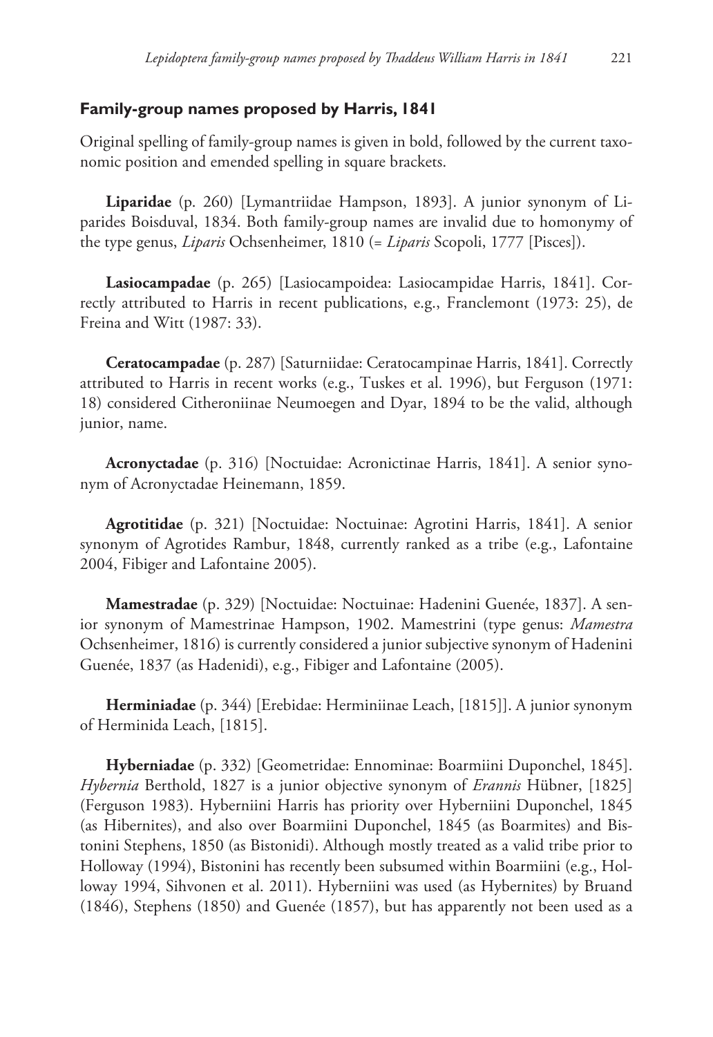## **Family-group names proposed by Harris, 1841**

Original spelling of family-group names is given in bold, followed by the current taxonomic position and emended spelling in square brackets.

**Liparidae** (p. 260) [Lymantriidae Hampson, 1893]. A junior synonym of Liparides Boisduval, 1834. Both family-group names are invalid due to homonymy of the type genus, *Liparis* Ochsenheimer, 1810 (= *Liparis* Scopoli, 1777 [Pisces]).

**Lasiocampadae** (p. 265) [Lasiocampoidea: Lasiocampidae Harris, 1841]. Correctly attributed to Harris in recent publications, e.g., Franclemont (1973: 25), de Freina and Witt (1987: 33).

**Ceratocampadae** (p. 287) [Saturniidae: Ceratocampinae Harris, 1841]. Correctly attributed to Harris in recent works (e.g., Tuskes et al. 1996), but Ferguson (1971: 18) considered Citheroniinae Neumoegen and Dyar, 1894 to be the valid, although junior, name.

**Acronyctadae** (p. 316) [Noctuidae: Acronictinae Harris, 1841]. A senior synonym of Acronyctadae Heinemann, 1859.

**Agrotitidae** (p. 321) [Noctuidae: Noctuinae: Agrotini Harris, 1841]. A senior synonym of Agrotides Rambur, 1848, currently ranked as a tribe (e.g., Lafontaine 2004, Fibiger and Lafontaine 2005).

**Mamestradae** (p. 329) [Noctuidae: Noctuinae: Hadenini Guenée, 1837]. A senior synonym of Mamestrinae Hampson, 1902. Mamestrini (type genus: *Mamestra* Ochsenheimer, 1816) is currently considered a junior subjective synonym of Hadenini Guenée, 1837 (as Hadenidi), e.g., Fibiger and Lafontaine (2005).

**Herminiadae** (p. 344) [Erebidae: Herminiinae Leach, [1815]]. A junior synonym of Herminida Leach, [1815].

**Hyberniadae** (p. 332) [Geometridae: Ennominae: Boarmiini Duponchel, 1845]. *Hybernia* Berthold, 1827 is a junior objective synonym of *Erannis* Hübner, [1825] (Ferguson 1983). Hyberniini Harris has priority over Hyberniini Duponchel, 1845 (as Hibernites), and also over Boarmiini Duponchel, 1845 (as Boarmites) and Bistonini Stephens, 1850 (as Bistonidi). Although mostly treated as a valid tribe prior to Holloway (1994), Bistonini has recently been subsumed within Boarmiini (e.g., Holloway 1994, Sihvonen et al. 2011). Hyberniini was used (as Hybernites) by Bruand (1846), Stephens (1850) and Guenée (1857), but has apparently not been used as a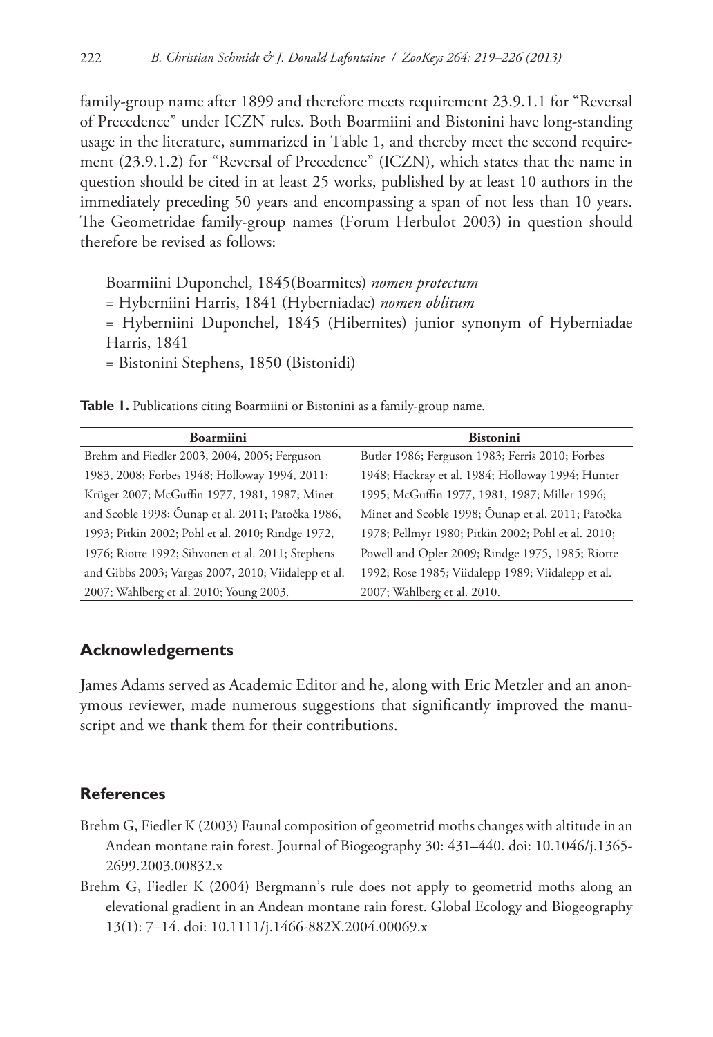family-group name after 1899 and therefore meets requirement 23.9.1.1 for "Reversal of Precedence" under ICZN rules. Both Boarmiini and Bistonini have long-standing usage in the literature, summarized in Table 1, and thereby meet the second requirement (23.9.1.2) for "Reversal of Precedence" (ICZN), which states that the name in question should be cited in at least 25 works, published by at least 10 authors in the immediately preceding 50 years and encompassing a span of not less than 10 years. The Geometridae family-group names (Forum Herbulot 2003) in question should therefore be revised as follows:

Boarmiini Duponchel, 1845(Boarmites) *nomen protectum*

= Hyberniini Harris, 1841 (Hyberniadae) *nomen oblitum*

= Hyberniini Duponchel, 1845 (Hibernites) junior synonym of Hyberniadae Harris, 1841

= Bistonini Stephens, 1850 (Bistonidi)

**Table 1.** Publications citing Boarmiini or Bistonini as a family-group name.

| <b>Boarmiini</b>                                    | <b>Bistonini</b>                                   |
|-----------------------------------------------------|----------------------------------------------------|
| Brehm and Fiedler 2003, 2004, 2005; Ferguson        | Butler 1986; Ferguson 1983; Ferris 2010; Forbes    |
| 1983, 2008; Forbes 1948; Holloway 1994, 2011;       | 1948; Hackray et al. 1984; Holloway 1994; Hunter   |
| Krüger 2007; McGuffin 1977, 1981, 1987; Minet       | 1995; McGuffin 1977, 1981, 1987; Miller 1996;      |
| and Scoble 1998; Óunap et al. 2011; Patočka 1986,   | Minet and Scoble 1998; Óunap et al. 2011; Patočka  |
| 1993; Pitkin 2002; Pohl et al. 2010; Rindge 1972,   | 1978; Pellmyr 1980; Pitkin 2002; Pohl et al. 2010; |
| 1976; Riotte 1992; Sihvonen et al. 2011; Stephens   | Powell and Opler 2009; Rindge 1975, 1985; Riotte   |
| and Gibbs 2003; Vargas 2007, 2010; Viidalepp et al. | 1992; Rose 1985; Viidalepp 1989; Viidalepp et al.  |
| 2007; Wahlberg et al. 2010; Young 2003.             | 2007; Wahlberg et al. 2010.                        |

## **Acknowledgements**

James Adams served as Academic Editor and he, along with Eric Metzler and an anonymous reviewer, made numerous suggestions that significantly improved the manuscript and we thank them for their contributions.

## **References**

- Brehm G, Fiedler K (2003) Faunal composition of geometrid moths changes with altitude in an Andean montane rain forest. Journal of Biogeography 30: 431–440. [doi: 10.1046/j.1365-](http://dx.doi.org/10.1046/j.1365-2699.2003.00832.x) [2699.2003.00832.x](http://dx.doi.org/10.1046/j.1365-2699.2003.00832.x)
- Brehm G, Fiedler K (2004) Bergmann's rule does not apply to geometrid moths along an elevational gradient in an Andean montane rain forest. Global Ecology and Biogeography 13(1): 7–14. [doi: 10.1111/j.1466-882X.2004.00069.x](http://dx.doi.org/10.1111/j.1466-882X.2004.00069.x)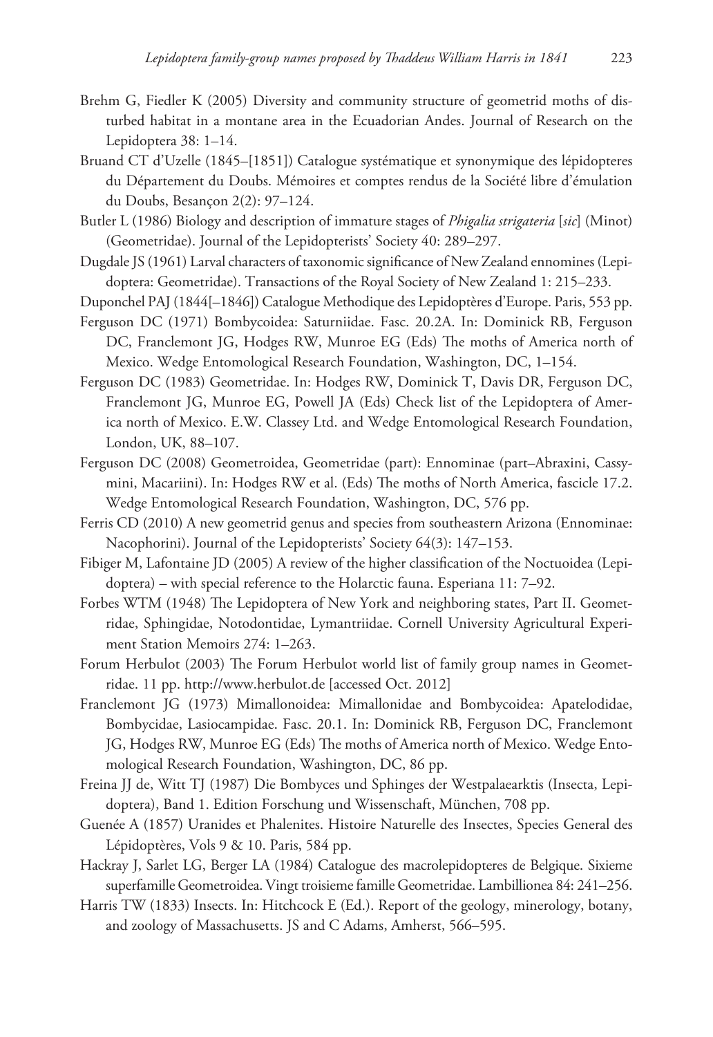- Brehm G, Fiedler K (2005) Diversity and community structure of geometrid moths of disturbed habitat in a montane area in the Ecuadorian Andes. Journal of Research on the Lepidoptera 38: 1–14.
- Bruand CT d'Uzelle (1845–[1851]) Catalogue systématique et synonymique des lépidopteres du Département du Doubs. Mémoires et comptes rendus de la Société libre d'émulation du Doubs, Besançon 2(2): 97–124.
- Butler L (1986) Biology and description of immature stages of *Phigalia strigateria* [*sic*] (Minot) (Geometridae). Journal of the Lepidopterists' Society 40: 289–297.
- Dugdale JS (1961) Larval characters of taxonomic significance of New Zealand ennomines (Lepidoptera: Geometridae). Transactions of the Royal Society of New Zealand 1: 215–233.
- Duponchel PAJ (1844[–1846]) Catalogue Methodique des Lepidoptères d'Europe. Paris, 553 pp.
- Ferguson DC (1971) Bombycoidea: Saturniidae. Fasc. 20.2A. In: Dominick RB, Ferguson DC, Franclemont JG, Hodges RW, Munroe EG (Eds) The moths of America north of Mexico. Wedge Entomological Research Foundation, Washington, DC, 1–154.
- Ferguson DC (1983) Geometridae. In: Hodges RW, Dominick T, Davis DR, Ferguson DC, Franclemont JG, Munroe EG, Powell JA (Eds) Check list of the Lepidoptera of America north of Mexico. E.W. Classey Ltd. and Wedge Entomological Research Foundation, London, UK, 88–107.
- Ferguson DC (2008) Geometroidea, Geometridae (part): Ennominae (part–Abraxini, Cassymini, Macariini). In: Hodges RW et al. (Eds) The moths of North America, fascicle 17.2. Wedge Entomological Research Foundation, Washington, DC, 576 pp.
- Ferris CD (2010) A new geometrid genus and species from southeastern Arizona (Ennominae: Nacophorini). Journal of the Lepidopterists' Society 64(3): 147–153.
- Fibiger M, Lafontaine JD (2005) A review of the higher classification of the Noctuoidea (Lepidoptera) – with special reference to the Holarctic fauna. Esperiana 11: 7–92.
- Forbes WTM (1948) The Lepidoptera of New York and neighboring states, Part II. Geometridae, Sphingidae, Notodontidae, Lymantriidae. Cornell University Agricultural Experiment Station Memoirs 274: 1–263.
- Forum Herbulot (2003) The Forum Herbulot world list of family group names in Geometridae. 11 pp.<http://www.herbulot.de> [accessed Oct. 2012]
- Franclemont JG (1973) Mimallonoidea: Mimallonidae and Bombycoidea: Apatelodidae, Bombycidae, Lasiocampidae. Fasc. 20.1. In: Dominick RB, Ferguson DC, Franclemont JG, Hodges RW, Munroe EG (Eds) The moths of America north of Mexico. Wedge Entomological Research Foundation, Washington, DC, 86 pp.
- Freina JJ de, Witt TJ (1987) Die Bombyces und Sphinges der Westpalaearktis (Insecta, Lepidoptera), Band 1. Edition Forschung und Wissenschaft, München, 708 pp.
- Guenée A (1857) Uranides et Phalenites. Histoire Naturelle des Insectes, Species General des Lépidoptères, Vols 9 & 10. Paris, 584 pp.
- Hackray J, Sarlet LG, Berger LA (1984) Catalogue des macrolepidopteres de Belgique. Sixieme superfamille Geometroidea. Vingt troisieme famille Geometridae. Lambillionea 84: 241–256.
- Harris TW (1833) Insects. In: Hitchcock E (Ed.). Report of the geology, minerology, botany, and zoology of Massachusetts. JS and C Adams, Amherst, 566–595.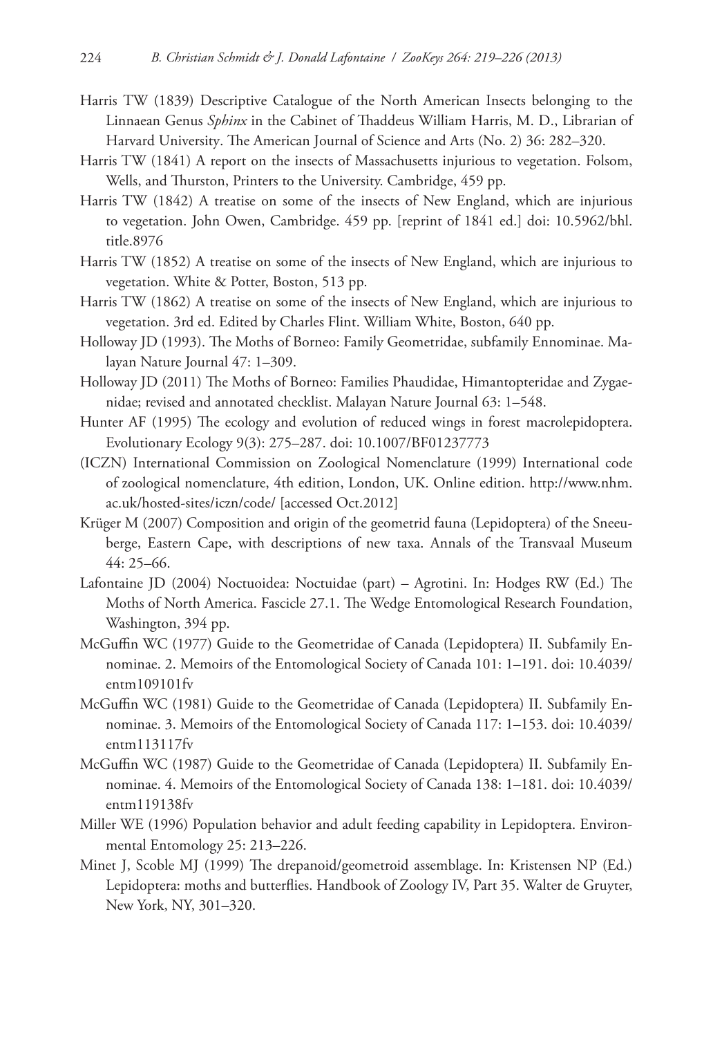- Harris TW (1839) Descriptive Catalogue of the North American Insects belonging to the Linnaean Genus *Sphinx* in the Cabinet of Thaddeus William Harris, M. D., Librarian of Harvard University. The American Journal of Science and Arts (No. 2) 36: 282–320.
- Harris TW (1841) A report on the insects of Massachusetts injurious to vegetation. Folsom, Wells, and Thurston, Printers to the University. Cambridge, 459 pp.
- Harris TW (1842) A treatise on some of the insects of New England, which are injurious to vegetation. John Owen, Cambridge. 459 pp. [reprint of 1841 ed.] [doi: 10.5962/bhl.](http://dx.doi.org/10.5962/bhl.title.8976) [title.8976](http://dx.doi.org/10.5962/bhl.title.8976)
- Harris TW (1852) A treatise on some of the insects of New England, which are injurious to vegetation. White & Potter, Boston, 513 pp.
- Harris TW (1862) A treatise on some of the insects of New England, which are injurious to vegetation. 3rd ed. Edited by Charles Flint. William White, Boston, 640 pp.
- Holloway JD (1993). The Moths of Borneo: Family Geometridae, subfamily Ennominae. Malayan Nature Journal 47: 1–309.
- Holloway JD (2011) The Moths of Borneo: Families Phaudidae, Himantopteridae and Zygaenidae; revised and annotated checklist. Malayan Nature Journal 63: 1–548.
- Hunter AF (1995) The ecology and evolution of reduced wings in forest macrolepidoptera. Evolutionary Ecology 9(3): 275–287. [doi: 10.1007/BF01237773](http://dx.doi.org/10.1007/BF01237773)
- (ICZN) International Commission on Zoological Nomenclature (1999) International code of zoological nomenclature, 4th edition, London, UK. Online edition. [http://www.nhm.](http://www.nhm.ac.uk/hosted-sites/iczn/code/) [ac.uk/hosted-sites/iczn/code/](http://www.nhm.ac.uk/hosted-sites/iczn/code/) [accessed Oct.2012]
- Krüger M (2007) Composition and origin of the geometrid fauna (Lepidoptera) of the Sneeuberge, Eastern Cape, with descriptions of new taxa. Annals of the Transvaal Museum 44: 25–66.
- Lafontaine JD (2004) Noctuoidea: Noctuidae (part) Agrotini. In: Hodges RW (Ed.) The Moths of North America. Fascicle 27.1. The Wedge Entomological Research Foundation, Washington, 394 pp.
- McGuffin WC (1977) Guide to the Geometridae of Canada (Lepidoptera) II. Subfamily Ennominae. 2. Memoirs of the Entomological Society of Canada 101: 1–191. [doi: 10.4039/](http://dx.doi.org/10.4039/entm109101fv) [entm109101fv](http://dx.doi.org/10.4039/entm109101fv)
- McGuffin WC (1981) Guide to the Geometridae of Canada (Lepidoptera) II. Subfamily Ennominae. 3. Memoirs of the Entomological Society of Canada 117: 1–153. [doi: 10.4039/](http://dx.doi.org/10.4039/entm113117fv) [entm113117fv](http://dx.doi.org/10.4039/entm113117fv)
- McGuffin WC (1987) Guide to the Geometridae of Canada (Lepidoptera) II. Subfamily Ennominae. 4. Memoirs of the Entomological Society of Canada 138: 1–181. [doi: 10.4039/](http://dx.doi.org/10.4039/entm119138fv) [entm119138fv](http://dx.doi.org/10.4039/entm119138fv)
- Miller WE (1996) Population behavior and adult feeding capability in Lepidoptera. Environmental Entomology 25: 213–226.
- Minet J, Scoble MJ (1999) The drepanoid/geometroid assemblage. In: Kristensen NP (Ed.) Lepidoptera: moths and butterflies. Handbook of Zoology IV, Part 35. Walter de Gruyter, New York, NY, 301–320.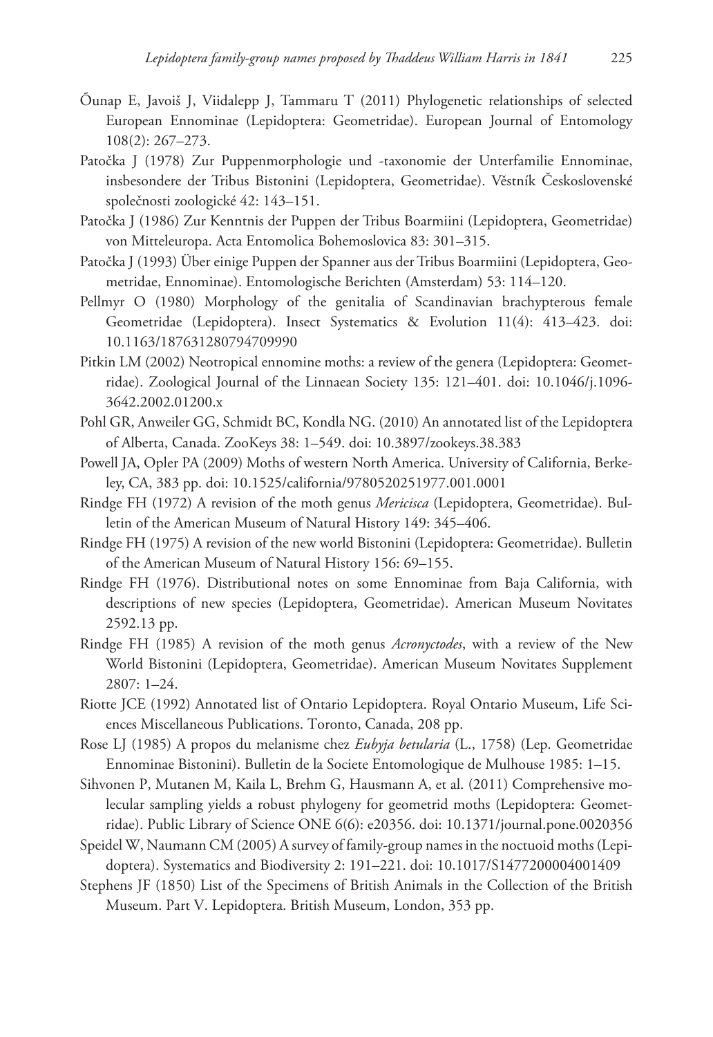- Õunap E, Javoiš J, Viidalepp J, Tammaru T (2011) Phylogenetic relationships of selected European Ennominae (Lepidoptera: Geometridae). European Journal of Entomology 108(2): 267–273.
- Patočka J (1978) Zur Puppenmorphologie und -taxonomie der Unterfamilie Ennominae, insbesondere der Tribus Bistonini (Lepidoptera, Geometridae). Věstník Československé společnosti zoologické 42: 143–151.
- Patočka J (1986) Zur Kenntnis der Puppen der Tribus Boarmiini (Lepidoptera, Geometridae) von Mitteleuropa. Acta Entomolica Bohemoslovica 83: 301–315.
- Patočka J (1993) Über einige Puppen der Spanner aus der Tribus Boarmiini (Lepidoptera, Geometridae, Ennominae). Entomologische Berichten (Amsterdam) 53: 114–120.
- Pellmyr O (1980) Morphology of the genitalia of Scandinavian brachypterous female Geometridae (Lepidoptera). Insect Systematics & Evolution 11(4): 413–423. [doi:](http://dx.doi.org/10.1163/187631280794709990) [10.1163/187631280794709990](http://dx.doi.org/10.1163/187631280794709990)
- Pitkin LM (2002) Neotropical ennomine moths: a review of the genera (Lepidoptera: Geometridae). Zoological Journal of the Linnaean Society 135: 121–401. [doi: 10.1046/j.1096-](http://dx.doi.org/10.1046/j.1096-3642.2002.01200.x) [3642.2002.01200.x](http://dx.doi.org/10.1046/j.1096-3642.2002.01200.x)
- Pohl GR, Anweiler GG, Schmidt BC, Kondla NG. (2010) An annotated list of the Lepidoptera of Alberta, Canada. ZooKeys 38: 1–549. [doi: 10.3897/zookeys.38.383](http://dx.doi.org/10.3897/zookeys.38.383)
- Powell JA, Opler PA (2009) Moths of western North America. University of California, Berkeley, CA, 383 pp. [doi: 10.1525/california/9780520251977.001.0001](http://dx.doi.org/10.1525/california/9780520251977.001.0001)
- Rindge FH (1972) A revision of the moth genus *Mericisca* (Lepidoptera, Geometridae). Bulletin of the American Museum of Natural History 149: 345–406.
- Rindge FH (1975) A revision of the new world Bistonini (Lepidoptera: Geometridae). Bulletin of the American Museum of Natural History 156: 69–155.
- Rindge FH (1976). Distributional notes on some Ennominae from Baja California, with descriptions of new species (Lepidoptera, Geometridae). American Museum Novitates 2592.13 pp.
- Rindge FH (1985) A revision of the moth genus *Acronyctodes*, with a review of the New World Bistonini (Lepidoptera, Geometridae). American Museum Novitates Supplement 2807: 1–24.
- Riotte JCE (1992) Annotated list of Ontario Lepidoptera. Royal Ontario Museum, Life Sciences Miscellaneous Publications. Toronto, Canada, 208 pp.
- Rose LJ (1985) A propos du melanisme chez *Eubyja betularia* (L., 1758) (Lep. Geometridae Ennominae Bistonini). Bulletin de la Societe Entomologique de Mulhouse 1985: 1–15.
- Sihvonen P, Mutanen M, Kaila L, Brehm G, Hausmann A, et al. (2011) Comprehensive molecular sampling yields a robust phylogeny for geometrid moths (Lepidoptera: Geometridae). Public Library of Science ONE 6(6): e20356. [doi: 10.1371/journal.pone.0020356](http://dx.doi.org/10.1371/journal.pone.0020356)
- Speidel W, Naumann CM (2005) A survey of family-group names in the noctuoid moths (Lepidoptera). Systematics and Biodiversity 2: 191–221. [doi: 10.1017/S1477200004001409](http://dx.doi.org/10.1017/S1477200004001409)
- Stephens JF (1850) List of the Specimens of British Animals in the Collection of the British Museum. Part V. Lepidoptera. British Museum, London, 353 pp.